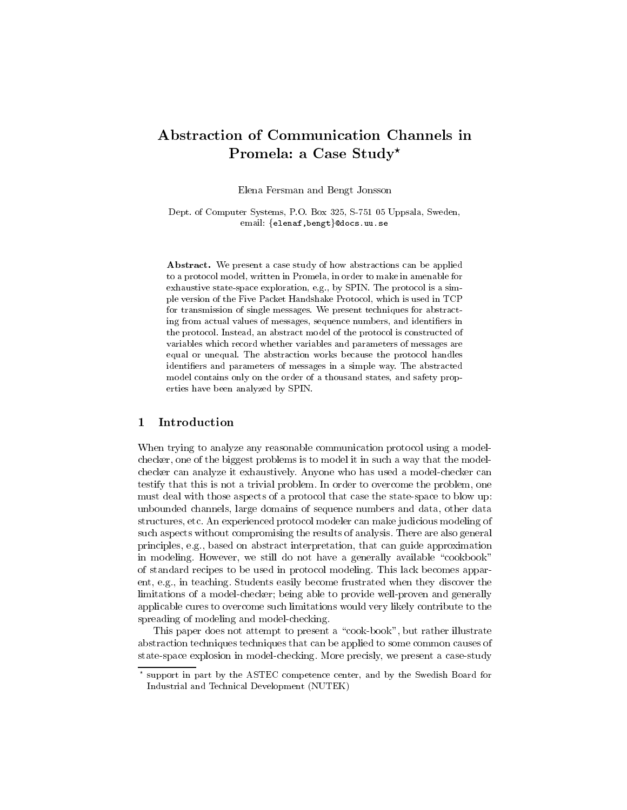# Abstraction of Communication Channels in Promela: a Case Study\*

Elena Fersman and Bengt Jonsson

Dept. of Computer Systems, P.O. Box 325, S-751 05 Uppsala, Sweden, email: {elenaf,bengt}@docs.uu.se

Abstract. We present a case study of how abstractions can be applied to a protocol model, written in Promela, in order to make in amenable for exhaustive state-space exploration, e.g., by SPIN. The protocol is a simple version of the Five Packet Handshake Protocol, which is used in TCP for transmission of single messages. We present techniques for abstracting from actual values of messages, sequence numbers, and identifiers in the protocol. Instead, an abstract model of the protocol is constructed of variables which record whether variables and parameters of messages are equal or unequal. The abstraction works because the protocol handles identiers and parameters of messages in a simple way. The abstracted model contains only on the order of a thousand states, and safety properties have been analyzed by SPIN.

### 1 Introduction

When trying to analyze any reasonable communication protocol using a modelchecker, one of the biggest problems is to model it in such a way that the modelchecker can analyze it exhaustively. Anyone who has used a model-checker can testify that this is not a trivial problem. In order to overcome the problem, one must deal with those aspects of a protocol that case the state-space to blow up: unbounded channels, large domains of sequence numbers and data, other data structures, etc. An experienced protocol modeler can make judicious modeling of such aspects without compromising the results of analysis. There are also general principles, e.g., based on abstract interpretation, that can guide approximation in modeling. However, we still do not have a generally available "cookbook" of standard recipes to be used in protocol modeling. This lack becomes apparent, e.g., in teaching. Students easily become frustrated when they discover the limitations of a model-checker; being able to provide well-proven and generally applicable cures to overcome such limitations would very likely contribute to the spreading of modeling and model-checking.

This paper does not attempt to present a "cook-book", but rather illustrate abstraction techniques techniques that can be applied to some common causes of state-space explosion in model-checking. More precisly, we present a case-study

<sup>?</sup> support in part by the ASTEC competence center, and by the Swedish Board for Industrial and Technical Development (NUTEK)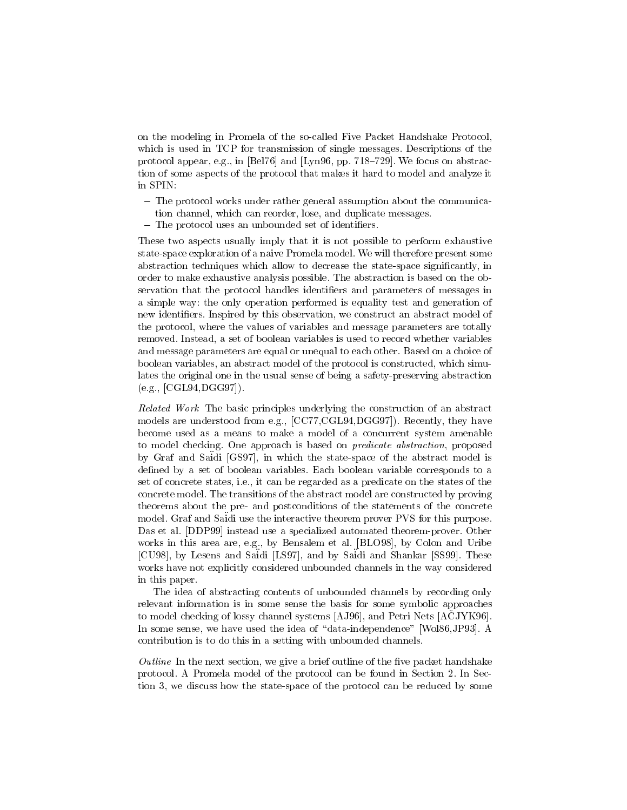on the modeling in Promela of the so-called Five Packet Handshake Protocol, which is used in TCP for transmission of single messages. Descriptions of the protocol appear, e.g., in [Bel76] and [Lyn96, pp. 718-729]. We focus on abstraction of some aspects of the protocol that makes it hard to model and analyze it in SPIN:

- { The protocol works under rather general assumption about the communication channel, which can reorder, lose, and duplicate messages.
- ${\bf r}$  inc protocol uses an unbounded set of identifiers.

These two aspects usually imply that it is not possible to perform exhaustive state-space exploration of a naive Promela model. We will therefore present some abstraction techniques which allow to decrease the state-space signicantly, in order to make exhaustive analysis possible. The abstraction is based on the observation that the protocol handles identifiers and parameters of messages in a simple way: the only operation performed is equality test and generation of new identiers. Inspired by this observation, we construct an abstract model of the protocol, where the values of variables and message parameters are totally removed. Instead, a set of boolean variables is used to record whether variables and message parameters are equal or unequal to each other. Based on a choice of boolean variables, an abstract model of the protocol is constructed, which simulates the original one in the usual sense of being a safety-preserving abstraction (e.g., [CGL94,DGG97]).

Related Work The basic principles underlying the construction of an abstract models are understood from e.g., [CC77,CGL94,DGG97]). Recently, they have become used as a means to make a model of a concurrent system amenable to model checking. One approach is based on *predicate abstraction*, proposed by Graf and Saidi [GS97], in which the state-space of the abstract model is defined by a set of boolean variables. Each boolean variable corresponds to a set of concrete states, i.e., it can be regarded as a predicate on the states of the concrete model. The transitions of the abstract model are constructed by proving theorems about the pre- and postconditions of the statements of the concrete model. Graf and Saidi use the interactive theorem prover PVS for this purpose. Das et al. [DDP99] instead use a specialized automated theorem-prover. Other works in this area are, e.g., by Bensalem et al. [BLO98], by Colon and Uribe [CU98], by Lesens and Saidi [LS97], and by Saidi and Shankar [SS99]. These works have not explicitly considered unbounded channels in the way considered in this paper.

The idea of abstracting contents of unbounded channels by recording only relevant information is in some sense the basis for some symbolic approaches to model checking of lossy channel systems [AJ96], and Petri Nets [ACJYK96]. In some sense, we have used the idea of "data-independence" [Wol86,JP93]. A contribution is to do this in a setting with unbounded channels.

*Outline* In the next section, we give a brief outline of the five packet handshake protocol. A Promela model of the protocol can be found in Section 2. In Section 3, we discuss how the state-space of the protocol can be reduced by some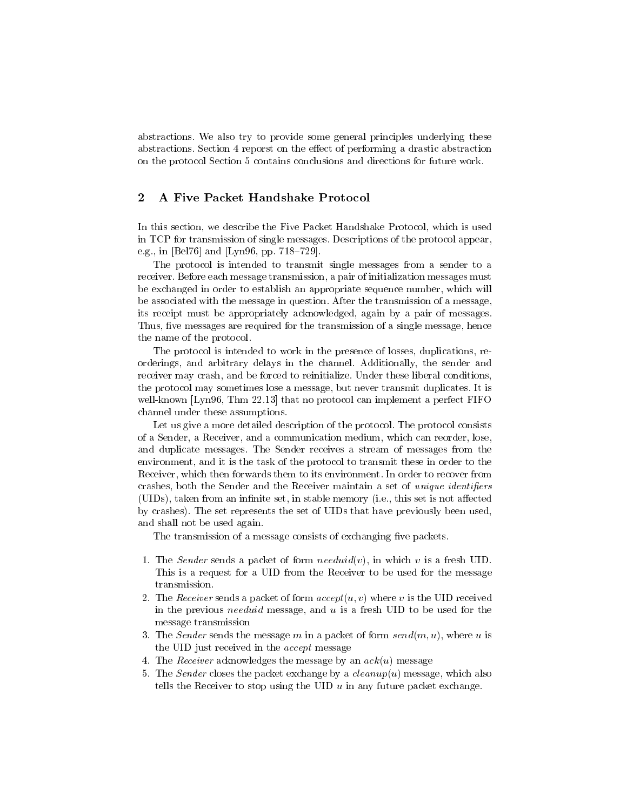abstractions. We also try to provide some general principles underlying these abstractions. Section 4 reporst on the effect of performing a drastic abstraction on the protocol Section 5 contains conclusions and directions for future work.

### 2 A Five Packet Handshake Protocol

In this section, we describe the Five Packet Handshake Protocol, which is used in TCP for transmission of single messages. Descriptions of the protocol appear, e.g., in [Bel76] and [Lyn96, pp. 718-729].

The protocol is intended to transmit single messages from a sender to a receiver. Before each message transmission, a pair of initialization messages must be exchanged in order to establish an appropriate sequence number, which will be associated with the message in question. After the transmission of a message, its receipt must be appropriately acknowledged, again by a pair of messages. Thus, five messages are required for the transmission of a single message, hence the name of the protocol.

The protocol is intended to work in the presence of losses, duplications, reorderings, and arbitrary delays in the channel. Additionally, the sender and receiver may crash, and be forced to reinitialize. Under these liberal conditions, the protocol may sometimes lose a message, but never transmit duplicates. It is well-known [Lyn96, Thm 22.13] that no protocol can implement a perfect FIFO channel under these assumptions.

Let us give a more detailed description of the protocol. The protocol consists of a Sender, a Receiver, and a communication medium, which can reorder, lose, and duplicate messages. The Sender receives a stream of messages from the environment, and it is the task of the protocol to transmit these in order to the Receiver, which then forwards them to its environment. In order to recover from crashes, both the Sender and the Receiver maintain a set of *unique identifiers*  $(UIDs)$ , taken from an infinite set, in stable memory (i.e., this set is not affected by crashes). The set represents the set of UIDs that have previously been used, and shall not be used again.

The transmission of a message consists of exchanging five packets.

- 1. The Sender sends a packet of form  $needuid(v)$ , in which v is a fresh UID. This is a request for a UID from the Receiver to be used for the message transmission.
- 2. The Receiver sends a packet of form  $accept(u, v)$  where v is the UID received in the previous *needuid* message, and u is a fresh UID to be used for the message transmission
- 3. The *Sender* sends the message m in a packet of form  $send(m, u)$ , where u is the UID just received in the *accept* message
- 4. The *Receiver* acknowledges the message by an  $ack(u)$  message
- 5. The Sender closes the packet exchange by a  $cleanup(u)$  message, which also tells the Receiver to stop using the UID  $u$  in any future packet exchange.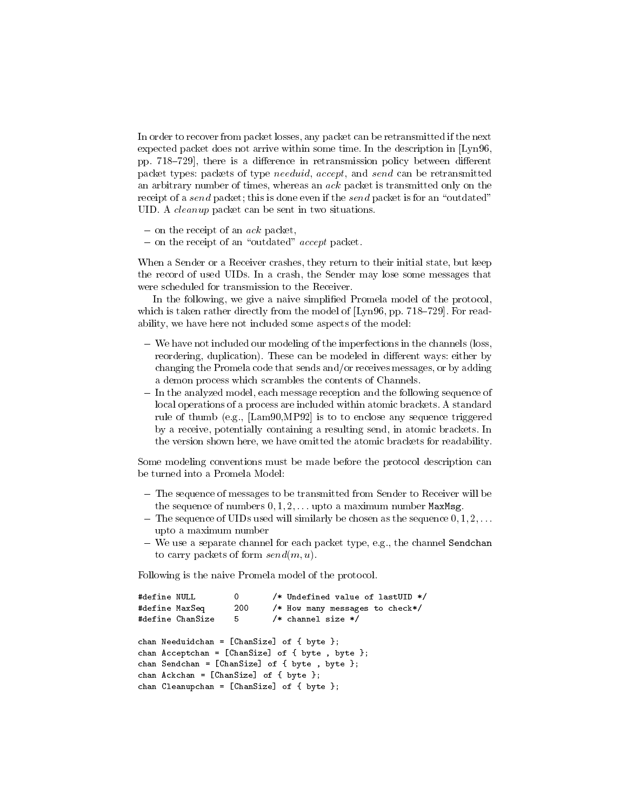In order to recover from packet losses, any packet can be retransmitted if the next expected packet does not arrive within some time. In the description in [Lyn96, pp. 718-729, there is a difference in retransmission policy between different packet types: packets of type needuid, accept, and send can be retransmitted an arbitrary number of times, whereas an ack packet is transmitted only on the receipt of a send packet; this is done even if the send packet is for an "outdated" UID. A cleanup packet can be sent in two situations.

- { on the receipt of an ack packet,
- $\alpha$  on the receipt of an  $\alpha$  outdated accept packet.

When a Sender or a Receiver crashes, they return to their initial state, but keep the record of used UIDs. In a crash, the Sender may lose some messages that were scheduled for transmission to the Receiver.

In the following, we give a naive simplified Promela model of the protocol, which is taken rather directly from the model of  $[Lyn96, pp. 718–729]$ . For readability, we have here not included some aspects of the model:

- $_{\rm H\,O}$  have not included our modeling or the imperfections in the channels (loss, reordering, duplication). These can be modeled in different ways: either by changing the Promela code that sends and/or receives messages, or by adding a demon process which scrambles the contents of Channels.
- { In the analyzed model, each message reception and the following sequence of local operations of a process are included within atomic brackets. A standard rule of thumb (e.g., [Lam90,MP92] is to to enclose any sequence triggered by a receive, potentially containing a resulting send, in atomic brackets. In the version shown here, we have omitted the atomic brackets for readability.

Some modeling conventions must be made before the protocol description can be turned into a Promela Model:

- { The sequence of messages to be transmitted from Sender to Receiver will be the sequence of numbers  $0, 1, 2, \ldots$  upto a maximum number MaxMsg.
- { The sequence of UIDs used will similarly be chosen as the sequence 0; 1; 2;::: upto a maximum number
- $_{\rm H\,C}$  as a separate channel for each packet  $_{\rm v\,P}$  or  $_{\rm e\,N}$ , the channel Sendchan to carry packets of form  $send(m, u)$ .

Following is the naive Promela model of the protocol.

```
#define NULL 0 /* Undefined value of lastUID */
                  200
#define MaxSeq 200 /* How many messages to check*/
#define ChanSize 5 /* channel size */
                  5
chan Needuidchan = [ChanSize] of { byte };
chan Acceptchan = [ChanSize] of { byte , byte };
chan Sendchan = [ChanSize] of \{ byte, byte \};chan Ackchan = [ChanSize] of { byte };
chan Cleanupchan = [ChanSize] of { byte };
```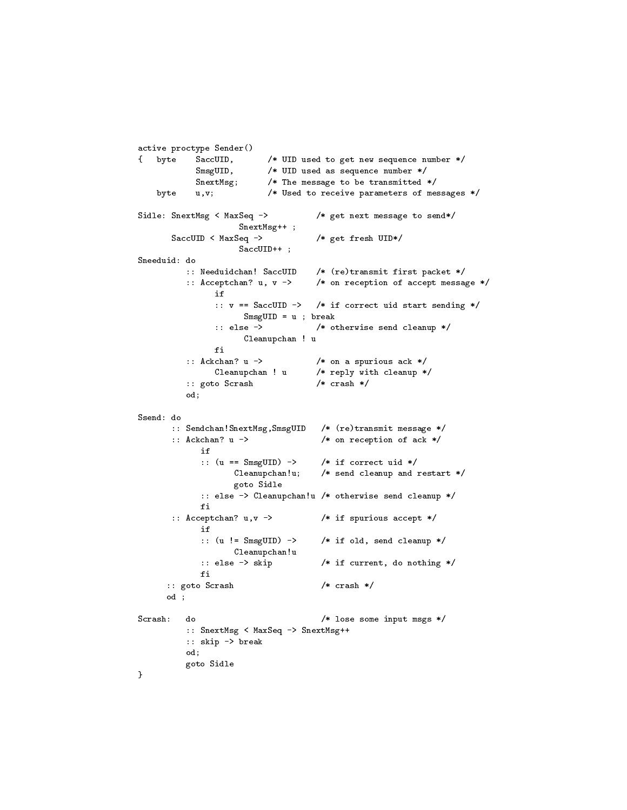```
active proctype Sender()
{ byte SaccUID, /* UID used to get new sequence number */
          SmsgUID, /* UID used as sequence number */
          SnextMsg; /* The message to be transmitted */
   byte u,v; /* Used to receive parameters of messages */
Sidle: SnextMsg < MaxSeq -> /* get next message to send*/
                  SnextMsg++ ;
      SaccUID < MaxSeq -> /* get fresh UID*/
                  SaccUID++ ;
Sneeduid: do
        :: Needuidchan! SaccUID /* (re)transmit first packet */
        :: Acceptchan? u, v -> /* on reception of accept message */
              if
              :: v == SaccUID -> /* if correct uid start sending */
                   SmsgUID = u ; break
              :: else -> /* otherwise send cleanup */
                   Cleanupchan ! u
             fi
        :: Ackchan? u -> /* on a spurious ack */
              Cleanupchan ! u /* reply with cleanup */
        :: goto Scrash /* crash */
        od;
Ssend: do
      :: Sendchan!SnextMsg,SmsgUID /* (re)transmit message */
      :: Ackchan? u -> /* on reception of ack */
           if
           :: (u == SmsgUID) -> /* if correct uid */
                 Cleanupchan!u; /* send cleanup and restart */
                 goto Sidle
           :: else -> Cleanupchan!u /* otherwise send cleanup */
           fi
      :: Acceptchan? u,v -> /* if spurious accept */
           if
           :: (u != SmsgUID) -> /* if old, send cleanup */
                 Cleanupchan!u
           :: else -> skip /* if current, do nothing */
           fi
     :: goto Scrash /* crash */
     od ;
Scrash: do /* lose some input msgs */
        :: SnextMsg < MaxSeq -> SnextMsg++
        :: skip -> break
        od;
        goto Sidle
}
```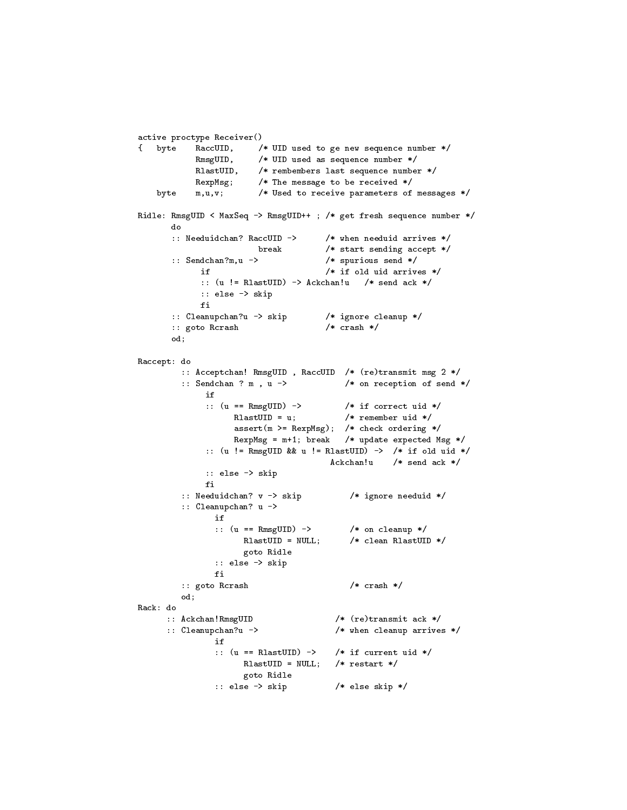```
active proctype Receiver()
€
   byte
            RaccUID,
                          /* UID used to ge new sequence number */
                          /* UID used as sequence number */RmsgUID,
                         /* rembembers last sequence number */RlastUID,
            RexpMsg;
                          /* The message to be received *//* Used to receive parameters of messages */
    byte
            m, u, v;Ridle: RmsgUID < MaxSeq -> RmsgUID++ ; /* get fresh sequence number */
       do
       :: Needuidchan? RaccUID ->
                                        /* when needuid arrives *//* start sending accept */break
       \therefore Sendchan?m,u ->
                                        /* spurious send */i f/* if old uid arrives */:: (u := RlastUID) \rightarrow Ackchan!u /* send ack */
             \therefore else \rightarrow skip
             fi
       :: Cleanupchan?u -> skip
                                       /* ignore cleanup */:: goto Rcrash
                                        /* crash */od;Raccept: do
         :: Acceptchan! RmsgUID, RaccUID /* (re)transmit msg 2 */
         :: Sendchan ? m, u ->
                                            /* on reception of send */if
              \therefore (u == RmsgUID) ->
                                            /* if correct uid */
                    RlastUID = u;
                                            /* remember uid */
                     \texttt{assert}(m \geq R\texttt{expMsg}); /* check ordering */
                     RexpMsg = m+1; break /* update expected Msg */
              :: (u != RmsgUID && u != RlastUID) -> /* if old uid */
                                          Acknowled{x}ckchan!u /* send ack */
              :: else -> skip
              f_i:: Needuidchan? v -> skip
                                              /* ignore needuid */
         :: Cleanupchan? u ->
                i f
                \therefore (u == RmsgUID) ->
                                              /* on cleanup */RlastUID = NULL;/* clean RlastUID */
                       goto Ridle
                :: else -> skip
                fi
         :: goto Rcrash
                                              /* crash */od;
Rack: do
      :: Ackchan! RmsgUID
                                          /* (re)transmit ack */
      :: Cleanupchan?u ->
                                           /* when cleanup arrives */\mathbf{i} f
                :: (u == RlastUID) ->/* if current uid */RlastUID = NULL;/* restart */goto Ridle
                :: else -> skip
                                          /* else skip */
```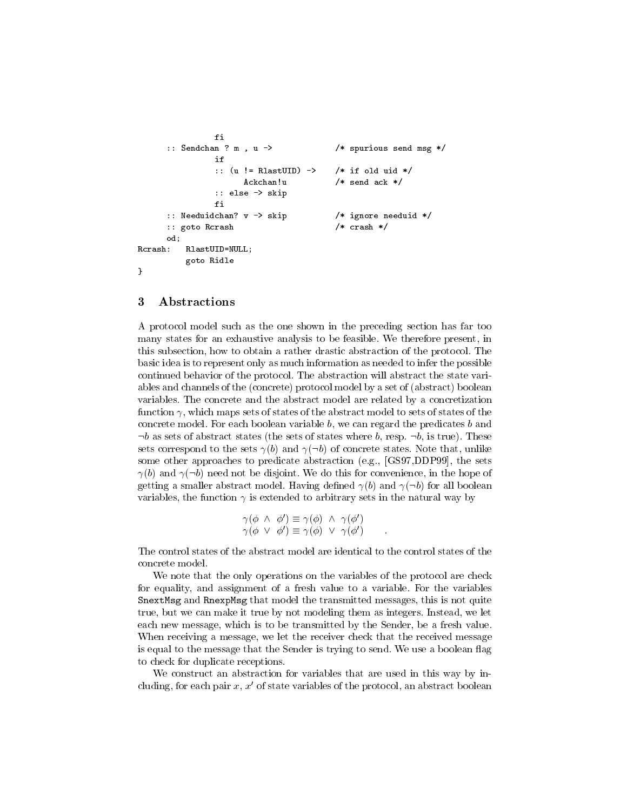```
f_i:: Sendchan ? m , u -> /* spurious send msg */
             :: (u != RlastUID) -> /* if old uid */
                  Ackchan!u /* send ack */
             :: else -> skip
             fi
     :: Needuidchan? v -> skip /* ignore needuid */
     :: goto Rcrash /* crash */
     od;
Rcrash: RlastUID=NULL;
        goto Ridle
}
```
#### 3 Abstractions

A protocol model such as the one shown in the preceding section has far too many states for an exhaustive analysis to be feasible. We therefore present, in this subsection, how to obtain a rather drastic abstraction of the protocol. The basic idea is to represent only as much information as needed to infer the possible continued behavior of the protocol. The abstraction will abstract the state variables and channels of the (concrete) protocol model by a set of (abstract) boolean variables. The concrete and the abstract model are related by a concretization function  $\gamma$ , which maps sets of states of the abstract model to sets of states of the concrete model. For each boolean variable  $b$ , we can regard the predicates  $b$  and  $\neg b$  as sets of abstract states (the sets of states where b, resp.  $\neg b$ , is true). These sets correspond to the sets  $\gamma(b)$  and  $\gamma(\neg b)$  of concrete states. Note that, unlike some other approaches to predicate abstraction (e.g., [GS97,DDP99], the sets  $\gamma(b)$  and  $\gamma(\neg b)$  need not be disjoint. We do this for convenience, in the hope of getting a smaller abstract model. Having defined  $\gamma(b)$  and  $\gamma(\neg b)$  for all boolean variables, the function  $\gamma$  is extended to arbitrary sets in the natural way by

$$
\begin{array}{l}\n\gamma(\phi \ \land \ \phi') \equiv \gamma(\phi) \ \land \ \gamma(\phi') \\
\gamma(\phi \ \lor \ \phi') \equiv \gamma(\phi) \ \lor \ \gamma(\phi') \\
\end{array}
$$

The control states of the abstract model are identical to the control states of the concrete model.

We note that the only operations on the variables of the protocol are check for equality, and assignment of a fresh value to a variable. For the variables SnextMsg and RnexpMsg that model the transmitted messages, this is not quite true, but we can make it true by not modeling them as integers. Instead, we let each new message, which is to be transmitted by the Sender, be a fresh value. When receiving a message, we let the receiver check that the received message is equal to the message that the Sender is trying to send. We use a boolean 
ag to check for duplicate receptions.

We construct an abstraction for variables that are used in this way by including, for each pair  $x, x'$  of state variables of the protocol, an abstract boolean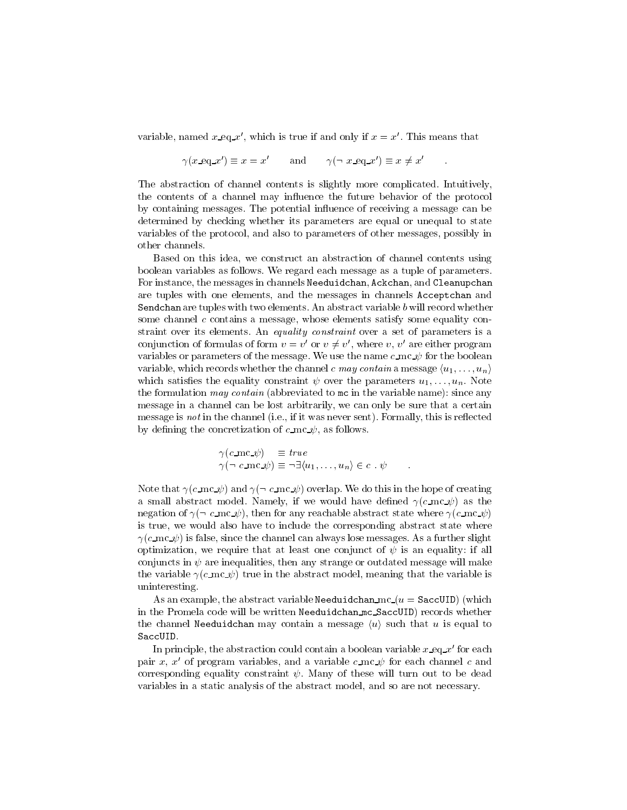variable, named  $x_{\text{eq}} x'$ , which is true if and only if  $x = x'$ . This means that

$$
\gamma(x \text{ .eq. } x') \equiv x = x' \qquad \text{and} \qquad \gamma(\neg \ x \text{ .eq. } x') \equiv x \neq x'
$$

The abstraction of channel contents is slightly more complicated. Intuitively, the contents of a channel may influence the future behavior of the protocol by containing messages. The potential influence of receiving a message can be determined by checking whether its parameters are equal or unequal to state variables of the protocol, and also to parameters of other messages, possibly in other channels.

Based on this idea, we construct an abstraction of channel contents using boolean variables as follows. We regard each message as a tuple of parameters. For instance, the messages in channels Needuidchan, Ackchan, and Cleanupchan are tuples with one elements, and the messages in channels Acceptchan and Sendchan are tuples with two elements. An abstract variable <sup>b</sup> will record whether some channel  $c$  contains a message, whose elements satisfy some equality constraint over its elements. An equality constraint over a set of parameters is a conjunction of formulas of form  $v = v$  for  $v \neq v$  , where  $v, v$  are either program variables or parameters of the message. We use the name  $c_{\rm m}c_{\rm \psi}$  for the boolean variable, which records whether the channel c may contain a message  $\langle u_1,\ldots,u_n\rangle$ which satisfies the equality constraint  $\psi$  over the parameters  $u_1, \ldots, u_n$ . Note the formulation *may contain* (abbreviated to mc in the variable name): since any message in a channel can be lost arbitrarily, we can only be sure that a certain message is *not* in the channel (i.e., if it was never sent). Formally, this is reflected by defining the concretization of  $c_{\text{mc}}\psi$ , as follows.

$$
\gamma(c \text{enc.} \psi) \equiv true \n\gamma(\neg c \text{enc.} \psi) \equiv \neg \exists \langle u_1, \dots, u_n \rangle \in c \cdot \psi
$$

Note that  $\gamma(c \text{mc}\psi)$  and  $\gamma(\neg c \text{mc}\psi)$  overlap. We do this in the hope of creating a small abstract model. Namely, if we would have defined  $\gamma(c \text{mc}\psi)$  as the negation of  $\gamma(\neg c_{\text{enc}} \psi)$ , then for any reachable abstract state where  $\gamma(c_{\text{enc}} \psi)$ is true, we would also have to include the corresponding abstract state where  $\gamma(c_{\rm m}c_{\rm \perp}\psi)$  is false, since the channel can always lose messages. As a further slight optimization, we require that at least one conjunct of  $\psi$  is an equality: if all conjuncts in  $\psi$  are inequalities, then any strange or outdated message will make the variable  $\gamma(c_{\rm m}c_{\rm \perp}\psi)$  true in the abstract model, meaning that the variable is uninteresting.

As an example, the abstract variable Needuidchan  $mc(u = SaccUID)$  (which in the Promela code will be written Needuidchan mc SaccUID) records whether the channel Needuidchan may contain a message  $\langle u \rangle$  such that u is equal to SaccUID.

In principle, the abstraction could contain a boolean variable  $x$ -eq  $x'$  for each pair x, x' of program variables, and a variable  $c_{\text{cm}} \sim \psi$  for each channel c and corresponding equality constraint  $\psi$ . Many of these will turn out to be dead variables in a static analysis of the abstract model, and so are not necessary.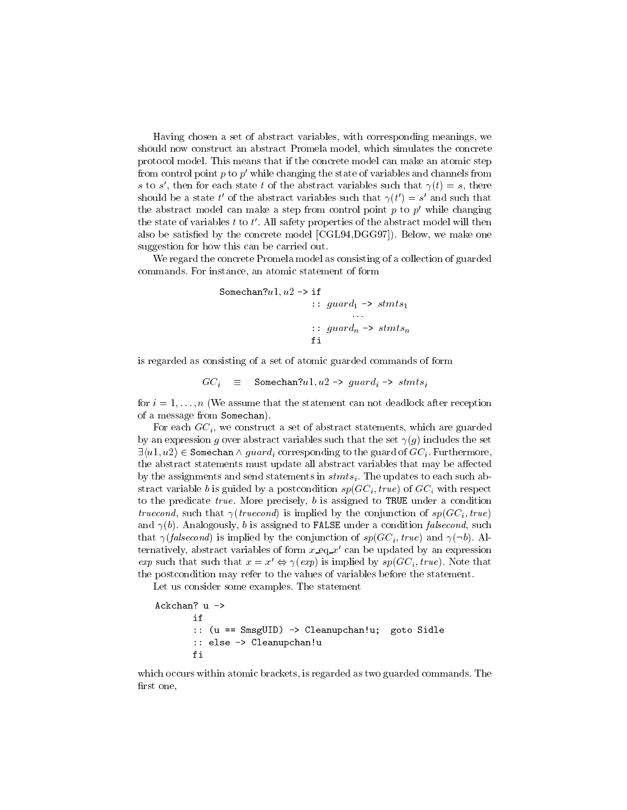Having chosen a set of abstract variables, with corresponding meanings, we should now construct an abstract Promela model, which simulates the concrete protocol model. This means that if the concrete model can make an atomic step from control point p to p' while changing the state of variables and channels from  $s$  to  $s$  , then for each state  $t$  of the abstract variables such that  $\gamma(t) \equiv s,$  there should be a state that the abstract variables such that  $\gamma(t) \equiv s$  and such that the abstract model can make a step from control point p to  $p'$  while changing the state of variables  $t$  to  $t$  . All safety properties of the abstract model will then also be satisfied by the concrete model [CGL94,DGG97]). Below, we make one suggestion for how this can be carried out.

We regard the concrete Promela model as consisting of a collection of guarded commands. For instance, an atomic statement of form

$$
\begin{aligned}\n\text{Somechan?} & u1, u2 \rightarrow \text{if} \\
& \vdots \quad \text{guard}_1 \rightarrow \text{stmts}_1 \\
& \vdots \quad \text{guard}_n \rightarrow \text{stmts}_n \\
& \text{fi}\n\end{aligned}
$$

is regarded as consisting of a set of atomic guarded commands of form

 $GC_i \equiv$  Somechan?u1, u2 -> guard<sub>i</sub> -> stmts<sub>i</sub>

for  $i = 1, \ldots, n$  (We assume that the statement can not deadlock after reception of a message from Somechan).

For each  $GC_i$ , we construct a set of abstract statements, which are guarded by an expression g over abstract variables such that the set  $\gamma(g)$  includes the set  $\exists \langle u1, u2 \rangle \in \mathsf{Somechan} \land guard_i$  corresponding to the guard of  $GC_i$ . Furthermore, the abstract statements must update all abstract variables that may be affected by the assignments and send statements in  $st m t s_i$ . The updates to each such abstract variable b is guided by a postcondition  $sp(GC_i, true)$  of  $GC_i$  with respect to the predicate  $true$ . More precisely,  $b$  is assigned to TRUE under a condition truecond, such that  $\gamma$ (truecond) is implied by the conjunction of  $sp(GC_i, true)$ and  $\gamma(b)$ . Analogously, b is assigned to FALSE under a condition falsecond, such that  $\gamma(falsecond)$  is implied by the conjunction of  $sp(GC_i, true)$  and  $\gamma(\neg b)$ . Alternatively, abstract variables of form  $x_{eq}x'$  can be updated by an expression exp such that such that  $x = x' \Leftrightarrow \gamma(exp)$  is implied by  $sp(GC_i, true)$ . Note that the postcondition may refer to the values of variables before the statement.

Let us consider some examples. The statement

```
Ackchan? u ->
       if
       :: (u == SmsgUID) -> Cleanupchan!u; goto Sidle
       :: else -> Cleanupchan!u
```
which occurs within atomic brackets, is regarded as two guarded commands. The first one,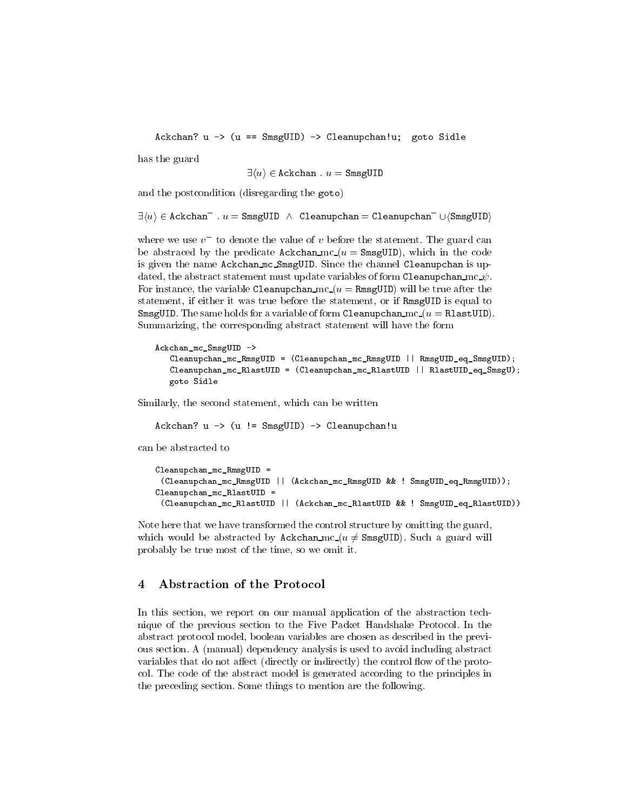Ackchan? u -> (u == SmsgUID) -> Cleanupchan!u; goto Sidle

has the guard

 $\exists \langle u \rangle \in \texttt{Acknowledran}$  :  $u = \texttt{SmsgUID}$ 

and the postcondition (disregarding the goto)

 $\exists$ ( $u$ )  $\in$  Ackchan  $u =$  SmsgUID  $\land$  Cleanupchan  $=$  Cleanupchan [l](SmsgUID)  $-$ 

where we use  $v$  - to denote the value of  $v$  before the statement. The guard can be abstraced by the predicate Ackchan mc  $(u =$  SmsgUID), which in the code is given the name Ackchan mc SmsgUID. Since the channel Cleanupchan is updated, the abstract statement must update variables of form Cleanupchan mc  $\psi$ . For instance, the variable Cleanupchan mc  $(u =$ RmsgUID) will be true after the statement, if either it was true before the statement, or if RmsgUID is equal to SmsgUID. The same holds for a variable of form Cleanupchan mc  $(u =$  RlastUID). Summarizing, the corresponding abstract statement will have the form

```
Ackchan_mc_SmsgUID ->
   Cleanupchan_mc_RmsgUID = (Cleanupchan_mc_RmsgUID || RmsgUID_eq_SmsgUID);
   Cleanupchan_mc_RlastUID = (Cleanupchan_mc_RlastUID || RlastUID_eq_SmsgU);
  goto Sidle
```
Similarly, the second statement, which can be written

Ackchan? u -> (u != SmsgUID) -> Cleanupchan!u

can be abstracted to

```
Cleanupchan_mc_RmsgUID =
 (Cleanupchan_mc_RmsgUID || (Ackchan_mc_RmsgUID && ! SmsgUID_eq_RmsgUID));
Cleanupchan_mc_RlastUID =
 (Cleanupchan_mc_RlastUID || (Ackchan_mc_RlastUID && ! SmsgUID_eq_RlastUID))
```
Note here that we have transformed the control structure by omitting the guard, which would be abstracted by Ackchan mc  $(u \neq \text{SmsgUID})$ . Such a guard will probably be true most of the time, so we omit it.

### **Abstraction of the Protocol**  $\overline{\mathbf{4}}$

In this section, we report on our manual application of the abstraction technique of the previous section to the Five Packet Handshake Protocol. In the abstract protocol model, boolean variables are chosen as described in the previous section. A (manual) dependency analysis is used to avoid including abstract variables that do not affect (directly or indirectly) the control flow of the protocol. The code of the abstract model is generated according to the principles in the preceding section. Some things to mention are the following.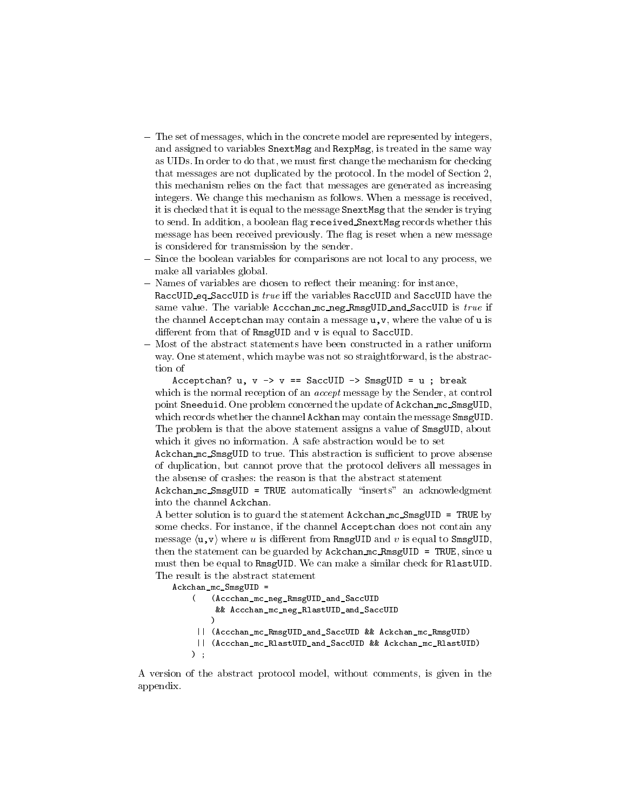- ${\bf T}$  in set of messages, which in the concrete model are represented by integers, and assigned to variables SnextMsg and RexpMsg, is treated in the same way as UIDs. In order to do that, we must first change the mechanism for checking that messages are not duplicated by the protocol. In the model of Section 2, this mechanism relies on the fact that messages are generated as increasing integers. We change this mechanism as follows. When a message is received, it is checked that it is equal to the message SnextMsg that the sender is trying to send. In addition, a boolean flag received SnextMsg records whether this message has been received previously. The flag is reset when a new message is considered for transmission by the sender.
- ${\rm Sineo}$  the boolean variables for comparisons are not local to any process, we make all variables global.
- { Names of variables are chosen to re
ect their meaning: for instance,
- RaccUID eq SaccUID is true iff the variables RaccUID and SaccUID have the same value. The variable Accchan mc neg RmsgUID and SaccUID is true if the channel Acceptchan may contain a message  $u, v$ , where the value of  $u$  is different from that of RmsgUID and v is equal to SaccUID.
- ${\bf M}$  are abstract state statements have been constructed in a rather uniform way. One statement, which maybe was not so straightforward, is the abstraction of

Acceptchan? u,  $v \rightarrow v ==$  SaccUID -> SmsgUID = u; break which is the normal reception of an *accept* message by the Sender, at control point Sneeduid. One problem concerned the update of Ackchan mc SmsgUID, which records whether the channel Ackhan may contain the message SmsgUID. The problem is that the above statement assigns a value of SmsgUID, about which it gives no information. A safe abstraction would be to set

Ackchan mc SmsgUID to true. This abstraction is sufficient to prove absense of duplication, but cannot prove that the protocol delivers all messages in the absense of crashes: the reason is that the abstract statement

 $Acknowledgment$   $Acknowledgment$  = TRUE automatically "inserts" an acknowledgment into the channel Ackchan.

A better solution is to guard the statement Ackchan mc SmsgUID <sup>=</sup> TRUE by some checks. For instance, if the channel Acceptchan does not contain any message  $\langle u, v \rangle$  where u is different from RmsgUID and v is equal to SmsgUID, then the statement can be guarded by Ackchan mc RmsgUID = TRUE, since u must then be equal to RmsgUID. We can make a similar check for RlastUID.

```
Ackchan_mc_SmsgUID =
    ( (Accchan_mc_neg_RmsgUID_and_SaccUID
        && Accchan_mc_neg_RlastUID_and_SaccUID
        \lambda)
     || (Accchan_mc_RmsgUID_and_SaccUID && Ackchan_mc_RmsgUID)
     || (Accchan_mc_RlastUID_and_SaccUID && Ackchan_mc_RlastUID)
    ) ;
```
A version of the abstract protocol model, without comments, is given in the appendix.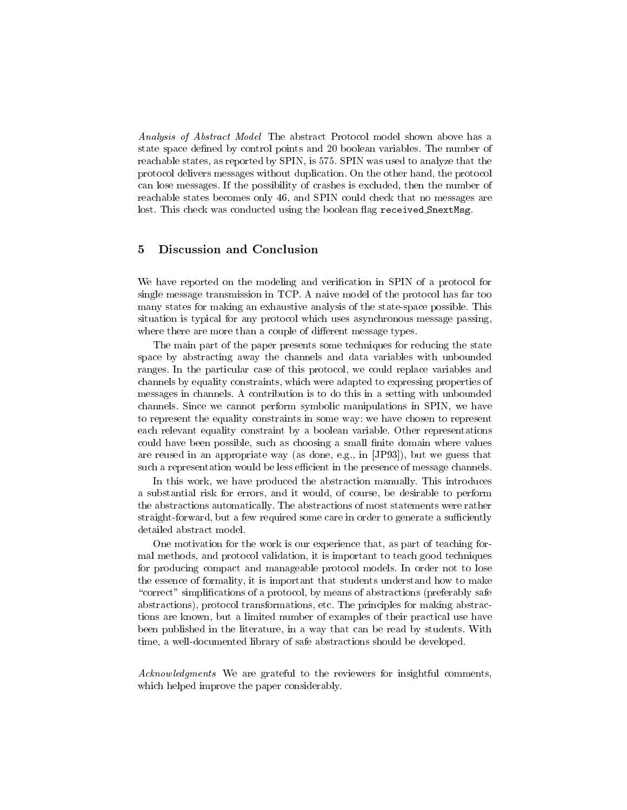Analysis of Abstract Model The abstract Protocol model shown above has a state space defined by control points and 20 boolean variables. The number of reachable states, as reported by SPIN, is 575. SPIN was used to analyze that the protocol delivers messages without duplication. On the other hand, the protocol can lose messages. If the possibility of crashes is excluded, then the number of reachable states becomes only 46, and SPIN could check that no messages are lost. This check was conducted using the boolean flag received SnextMsg.

## 5 Discussion and Conclusion

We have reported on the modeling and verification in SPIN of a protocol for single message transmission in TCP. A naive model of the protocol has far too many states for making an exhaustive analysis of the state-space possible. This situation is typical for any protocol which uses asynchronous message passing, where there are more than a couple of different message types.

The main part of the paper presents some techniques for reducing the state space by abstracting away the channels and data variables with unbounded ranges. In the particular case of this protocol, we could replace variables and channels by equality constraints, which were adapted to expressing properties of messages in channels. A contribution is to do this in a setting with unbounded channels. Since we cannot perform symbolic manipulations in SPIN, we have to represent the equality constraints in some way: we have chosen to represent each relevant equality constraint by a boolean variable. Other representations could have been possible, such as choosing a small finite domain where values are reused in an appropriate way (as done, e.g., in [JP93]), but we guess that such a representation would be less efficient in the presence of message channels.

In this work, we have produced the abstraction manually. This introduces a substantial risk for errors, and it would, of course, be desirable to perform the abstractions automatically. The abstractions of most statements were rather straight-forward, but a few required some care in order to generate a sufficiently detailed abstract model.

One motivation for the work is our experience that, as part of teaching formal methods, and protocol validation, it is important to teach good techniques for producing compact and manageable protocol models. In order not to lose the essence of formality, it is important that students understand how to make "correct" simplifications of a protocol, by means of abstractions (preferably safe abstractions), protocol transformations, etc. The principles for making abstractions are known, but a limited number of examples of their practical use have been published in the literature, in a way that can be read by students. With time, a well-documented library of safe abstractions should be developed.

Acknowledgments We are grateful to the reviewers for insightful comments, which helped improve the paper considerably.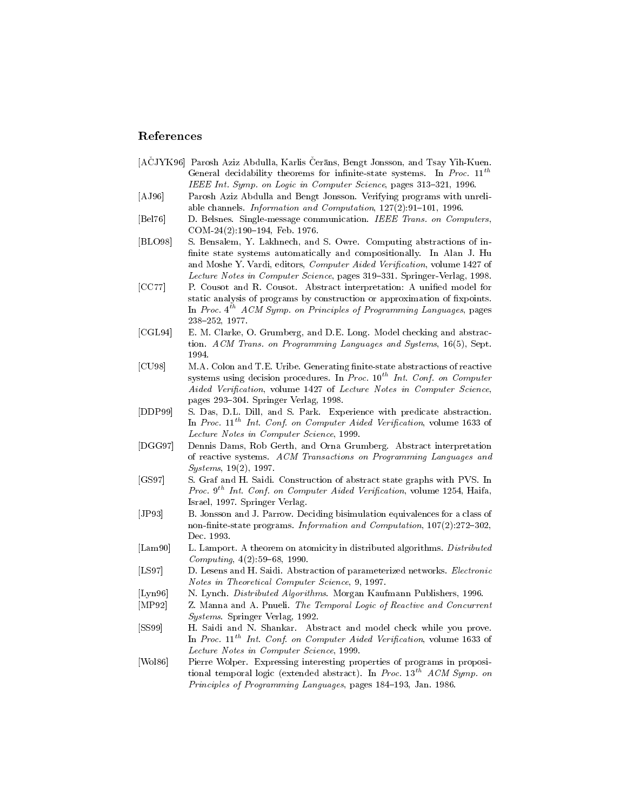# References

- $\left| \text{AVJ} \right|$  is a contracted abdulla, Karlis Cerails, Bengt Jonsson, and Tsay Tim-Kuen. General decidability theorems for infinite-state systems. In Proc.  $11^{th}$ IEEE Int. Symp. on Logic in Computer Science, pages 313-321, 1996.
- [AJ96] Parosh Aziz Abdulla and Bengt Jonsson. Verifying programs with unreliable channels. Information and Computation,  $127(2):91{-}101$ , 1996.
- [Bel76] D. Belsnes. Single-message communication. IEEE Trans. on Computers,  $COM-24(2):190-194$ , Feb. 1976.
- [BLO98] S. Bensalem, Y. Lakhnech, and S. Owre. Computing abstractions of in finite state systems automatically and compositionally. In Alan J. Hu and Moshe Y. Vardi, editors, Computer Aided Verification, volume 1427 of Lecture Notes in Computer Science, pages 319-331. Springer-Verlag, 1998.
- [CC77] P. Cousot and R. Cousot. Abstract interpretation: A unied model for static analysis of programs by construction or approximation of fixpoints. In Proc. 4 ACM Symp. on Principles of Programming Languages, pages 238{252, 1977.
- [CGL94] E. M. Clarke, O. Grumberg, and D.E. Long. Model checking and abstraction. ACM Trans. on Programming Languages and Systems, 16(5), Sept. 1994.
- [CU98] M.A. Colon and T.E. Uribe. Generating finite-state abstractions of reactive systems using decision procedures. In Proc.  $10^{th}$  Int. Conf. on Computer Aided Verification, volume 1427 of Lecture Notes in Computer Science. pages 293-304. Springer Verlag, 1998.
- [DDP99] S. Das, D.L. Dill, and S. Park. Experience with predicate abstraction. In Proc.  $11^{th}$  Int. Conf. on Computer Aided Verification, volume 1633 of Lecture Notes in Computer Science, 1999.
- [DGG97] Dennis Dams, Rob Gerth, and Orna Grumberg. Abstract interpretation of reactive systems. ACM Transactions on Programming Languages and Systems, 19(2), 1997.
- [GS97] S. Graf and H. Saidi. Construction of abstract state graphs with PVS. In Proc. 9 th Int. Conf. on Computer Aided Verication, volume 1254, Haifa, Israel, 1997. Springer Verlag.
- [JP93] B. Jonsson and J. Parrow. Deciding bisimulation equivalences for a class of non-finite-state programs. Information and Computation,  $107(2):272{-}302$ , Dec. 1993.
- [Lam90] L. Lamport. A theorem on atomicity in distributed algorithms. Distributed  $Computing, 4(2):59-68, 1990.$
- [LS97] D. Lesens and H. Saidi. Abstraction of parameterized networks. Electronic Notes in Theoretical Computer Science, 9, 1997.
- [Lyn96] N. Lynch. Distributed Algorithms. Morgan Kaufmann Publishers, 1996.
- [MP92] Z. Manna and A. Pnueli. The Temporal Logic of Reactive and Concurrent Systems. Springer Verlag, 1992.
- [SS99] H. Saidi and N. Shankar. Abstract and model check while you prove. In Proc.  $11^{th}$  Int. Conf. on Computer Aided Verification, volume 1633 of Lecture Notes in Computer Science, 1999.
- [Wol86] Pierre Wolper. Expressing interesting properties of programs in propositional temporal logic (extended abstract). In Proc.  $13^{th}$  ACM Symp. on Principles of Programming Languages, pages 184-193, Jan. 1986.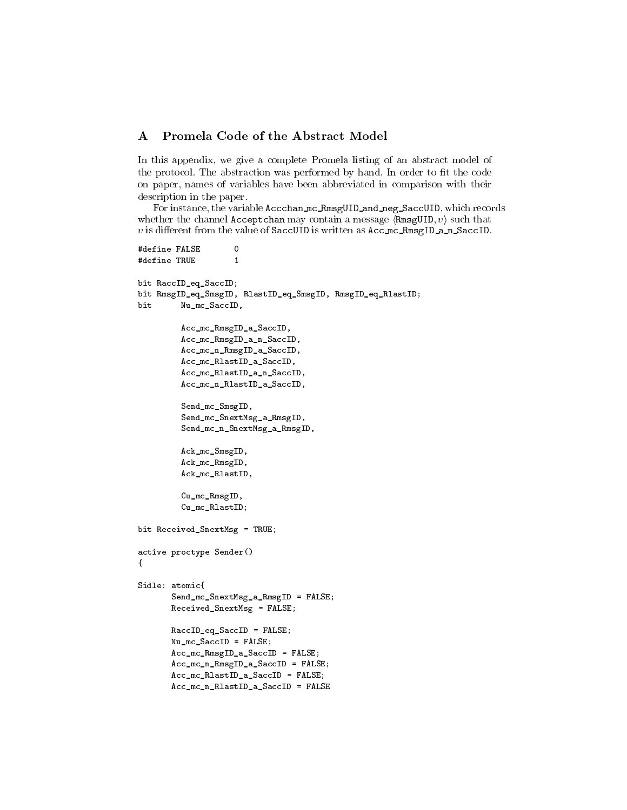### Promela Code of the Abstract Model  $\mathbf{A}$

In this appendix, we give a complete Promela listing of an abstract model of the protocol. The abstraction was performed by hand. In order to fit the code on paper, names of variables have been abbreviated in comparison with their description in the paper.

For instance, the variable Accchan mc RmsgUID and neg SaccUID, which records whether the channel Acceptchan may contain a message  $\langle$ RmsgUID, v $\rangle$  such that v is dierent from the value of SaccUID is written as Acc mc RmsgID a n SaccID.

```
#define FALSE 0
#define TRUE 1
                          \mathbf{1}bit RaccID_eq_SaccID;
bit RmsgID_eq_SmsgID, RlastID_eq_SmsgID, RmsgID_eq_RlastID;
bit Nu_mc_SaccID,
           Acc_mc_RmsgID_a_SaccID,
           Acc_mc_RmsgID_a_n_SaccID,
           Acc_mc_n_RmsgID_a_SaccID,
           Acc_mc_RlastID_a_SaccID,
           Acc_mc_RlastID_a_n_SaccID,
           Acc_mc_n_RlastID_a_SaccID,
            Send_mc_SmsgID,
            Send_mc_SnextMsg_a_RmsgID,
            Send_mc_n_SnextMsg_a_RmsgID,
           Ack_mc_SmsgID,
           Ack_mc_RmsgID,
           Ack_mc_RlastID,
           Cu_mc_RmsgID,
           Cu_mc_RlastID;
bit Received_SnextMsg = TRUE;
active proctype Sender()
{\color{red} \bullet} . The contract of the contract of the contract of the contract of the contract of the contract of the contract of the contract of the contract of the contract of the contract of the contract of the contract of 
Sidle: atomic{
         Send_mc_SnextMsg_a_RmsgID = FALSE;
         Received_SnextMsg = FALSE;
         RaccID_eq_SaccID = FALSE;
         Nu_mc_SaccID = FALSE;
         Acc_mc_RmsgID_a_SaccID = FALSE;
         Acc_mc_n_RmsgID_a_SaccID = FALSE;
         Acc_mc_RlastID_a_SaccID = FALSE;
         Acc_mc_n_RlastID_a_SaccID = FALSE
```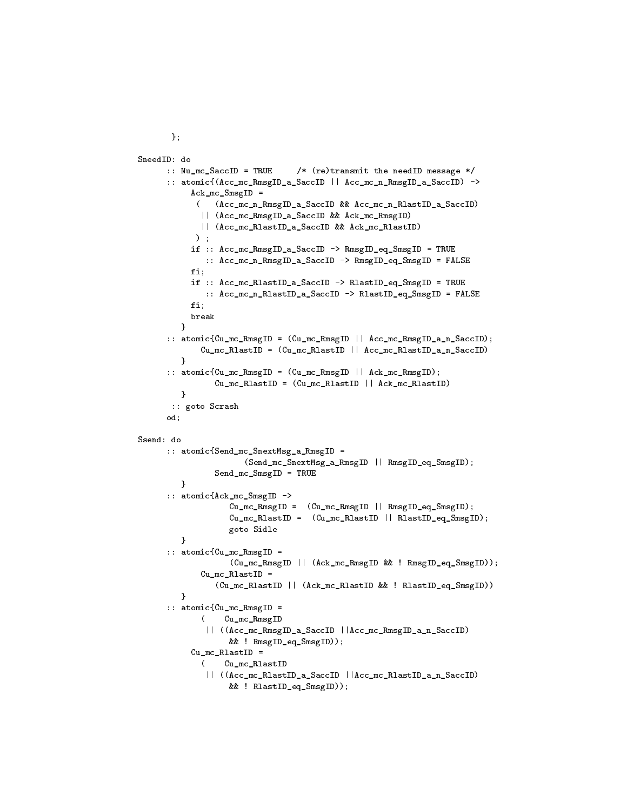```
SneedID: do
                                    /* (re)transmit the needID message */:: Nu_mc_SaccID = TRUE:: atomic{(Acc_mc_RmsgID_a_SaccID || Acc_mc_n_RmsgID_a_SaccID) ->
            Ack_m c_SmsgID =( (Acc_mc_n_RmsgID_a_SaccID && Acc_mc_n_RlastID_a_SaccID)
              | | (Acc_mc_RmsgID_a_SaccID && Ack_mc_RmsgID)
              || (Acc_mc_RlastID_a_SaccID && Ack_mc_RlastID)
             );
            if :: Acc_mc_RmsgID_a_SaccID -> RmsgID_eq_SmsgID = TRUE
               :: Acc_mc_n_RmsgID_a_SaccID -> RmsgID_eq_SmsgID = FALSE
            fi;
            if :: Acc_mc_RlastID_a_SaccID -> RlastID_eq_SmsgID = TRUE
               :: Acc_mc_n_RlastID_a_SaccID -> RlastID_eq_SmsgID = FALSE
            fi;
            break
         \mathcal{F}:: atomic(Cu_mc_RmsgID = (Cu_mc_RmsgID || Acc_mc_RmsgID_a_nSaccID);\texttt{Cu\_mc\_PlastID} \ = \ \texttt{(Cu\_mc\_PlastID} \ \mid \ \ \texttt{Acc\_mc\_PlastID\_a\_n\_SaccID})<sup>}</sup>
      :: atomic(Cu_mc_RmsgID = (Cu_mc_RmsgID || Ack_mc_RmsgID);Cu_{mc}RlastID = (Cu_{mc}RlastID || Ack_mc_RlastID)
         \mathcal{P}:: goto Scrash
      od:
Ssend: do
      :: atomic{Send_mc_SnextMsg_a_RmsgID =
                        (Send_mc_SnextMsg_a_RmsgID | | RmsgID_eq_SmsgID);
                 Send_mc_SmsgID = TRUE\mathcal{F}:: atomic{Ack_mc_SmsgID ->
                     Cu_{mc_{max}}ID = (Cu_{mc_{max}}ID || RmsgID_{eq_{S}supID);Cu_mc_RlastID = (Cu_mc_RlastID || RlastID_eq_SmsgID);
                    goto Sidle
          ι
      :: atomic{Cu_mc_RmsgID =(Cu_mc_RmsgID | | (Ack_mc_RmsgID && ! RmsgID_eq_SmsgID));
              Cu<sub>_mc_RlastID</sub> =
                  (Cu_mc_RlastID | | (Ack_mc_RlastID && ! RlastID_eq_SmsgID))
         <sup>}</sup>
      :: atomic{Cu_mc_RmsgID =Cu<sub>_mc_RmsgID</sub>
              \left(|| ((Acc_mc_RmsgID_a_SaccID ||Acc_mc_RmsgID_a_n_SaccID)
                     && ! RmsgID_eq_SmsgID));
            Cu_mc_RlastID =Cu<sub>_mc_RlastID</sub>
              \left(| | ((Acc_mc_RlastID_a_SaccID | | Acc_mc_RlastID_a_n_SaccID)
                     && ! Rlast ID_eq_Smsg ID));
```
 $\}$ :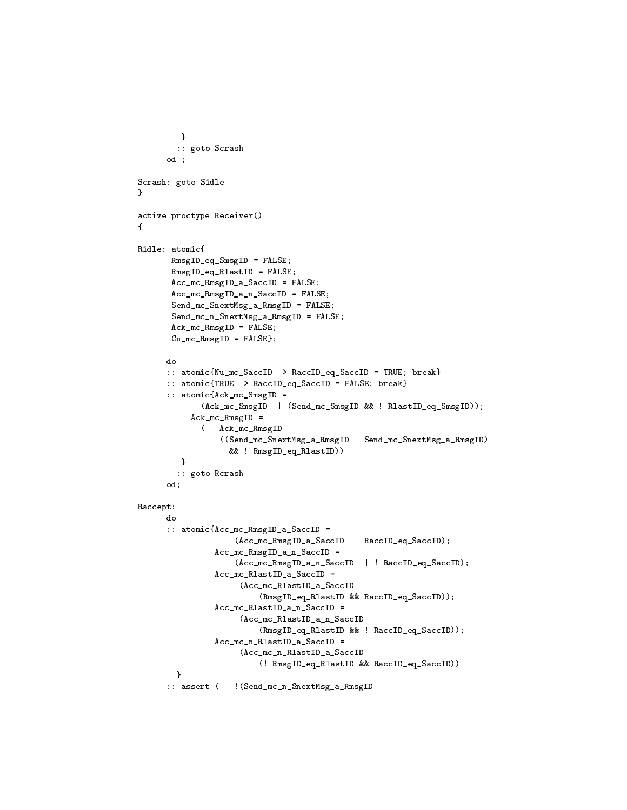```
\rightarrow}
         :: goto Scrash
       od ;
Scrash: goto Sidle
J.
}
active proctype Receiver()
{\color{red} \bullet} . The contract of the contract of the contract of the contract of the contract of the contract of the contract of the contract of the contract of the contract of the contract of the contract of the contract of 
Ridle: atomic{
        RmsgID_eq_SmsgID = FALSE;
        RmsgID_eq_RlastID = FALSE;
        Acc_mc_RmsgID_a_SaccID = FALSE;
        Acc_mc_RmsgID_a_n_SaccID = FALSE;
        Send_mc_SnextMsg_a_RmsgID = FALSE;
        Send_mc_n_SnextMsg_a_RmsgID = FALSE;
        Ack_mc_RmsgID = FALSE;
        Cu_{mc}RmsgID = FALSE;
       do
       :: atomic{Nu_mc_SaccID -> RaccID_eq_SaccID = TRUE; break}
       :: atomic{TRUE -> RaccID_eq_SaccID = FALSE; break}
       :: atomic{Ack_mc_SmsgID =
               (Ack_mc_SmsgID || (Send_mc_SmsgID && ! RlastID_eq_SmsgID));
             Ack_mc_RmsgID =( Ack_mc_RmsgID
                 || ((Send_mc_SnextMsg_a_RmsgID ||Send_mc_SnextMsg_a_RmsgID)
                      && ! RmsgID_eq_RlastID))
           }
         :: goto Rcrash
       od;
Raccept:
       do
       :: atomic{Acc_mc_RmsgID_a_SaccID =
                        (Acc_mc_RmsgID_a_SaccID || RaccID_eq_SaccID);
                   Acc_mc_RmsgID_a_n_SaccID =
                        (Acc_mc_RmsgID_a_n_SaccID || ! RaccID_eq_SaccID);
                   Acc_mc_RlastID_a_SaccID =
                         (Acc_mc_RlastID_a_SaccID
                          || (RmsgID_eq_RlastID && RaccID_eq_SaccID));
                   Acc_mc_RlastID_a_n_SaccID =
                         (Acc_mc_RlastID_a_n_SaccID
                          || (RmsgID_eq_RlastID && ! RaccID_eq_SaccID));
                   Acc_mc_n_RlastID_a_SaccID =
                         (Acc_mc_n_RlastID_a_SaccID
                          || (! RmsgID_eq_RlastID && RaccID_eq_SaccID))
         }
       :: assert ( !(Send\_mc\_n\_SnextMsg\_a\_RmsgID
```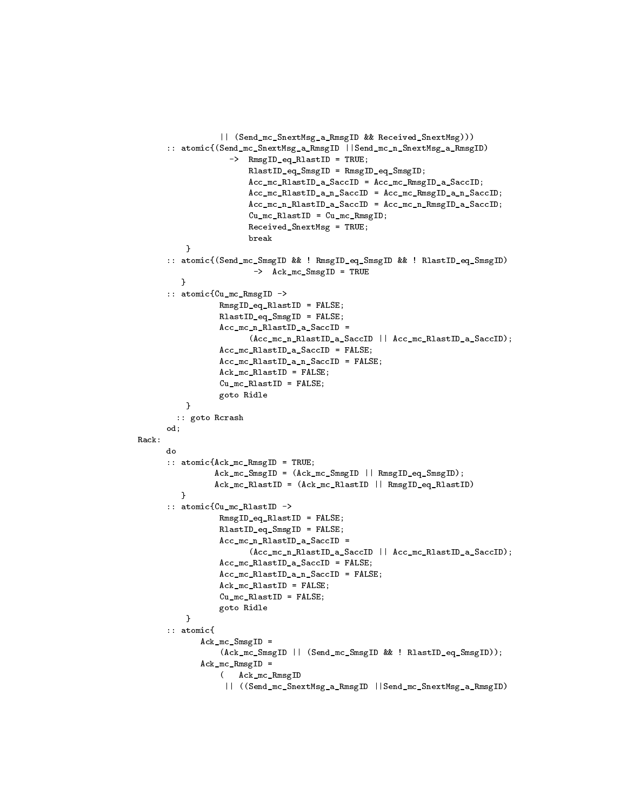```
|| (Send_mc_SnextMsg_a_RmsgID && Received_SnextMsg)))
      :: atomic{(Send_mc_SnextMsg_a_RmsgID ||Send_mc_n_SnextMsg_a_RmsgID)
                    -> RmsgID_eq_RlastID = TRUE;
                        RlastID_eq_SmsgID = RmsgID_eq_SmsgID;Acc_mc_RlastID_a_SaccID = Acc_mc_RmsgID_a_SaccID;
                        Acc_mc_RlastID_a_n_SaccID = Acc_mc_RmsgID_a_n_SaccID;Acc_mc_n_RlastID_a_SaccID = Acc_mc_n_RmsgID_a_SaccID;
                        Cu_{mc} RlastID = Cu_{mc} RmsgID;
                        Received_SnextMsg = TRUE;break
          \mathcal{E}:: atomic{(Send_mc_SmsgID && ! RmsgID_eq_SmsgID && ! RlastID_eq_SmsgID)
                         \rightarrow Ack_mc_SmsgID = TRUE
         \mathcal{F}:: atomic{Cu_mc_RmsgID \rightarrowRmsgID_eq_RlastID = FALSE;RlastID_eq_SmsgID = FALSE;Acc_mc_n_RlastID_a_SaccID =(Acc_mc_n_RlastID_a_SaccID | | Acc_mc_RlastID_a_SaccID);
                  Acc_mc_RlastID_a_SaccID = FALSE;Acc_mc_RlastID_a_n_SaccID = FALSE;Ack_m c_R lastID = FALSE;Cu_{mc} RlastID = FALSE;
                  goto Ridle
          \mathcal{L}:: goto Rcrash
      od;
Rack:
      do
      :: atomic{Ack_mc_RmsgID} = TRUE;
                 Ack_m c_SmsgID = (Ack_m c_SmsgID || RmsgID_eq_SmsgID);Ack_m c_R lastID = (Ack_m c_R lastID || RmsgID_eq_R lastID)ι
      :: atomic{Cu<sub>mc</sub>_RlastID ->
                  RmsgID_eq_RlastID = FALSE;RlastID_eq_SmsgID = FALSE;Acc_mc_n_RlastID_a_SaccID =(\verb+Acc_mc_n_RlastID_a_SaccID || Acc_mc_RlastID_a_SaccID);Acc_mc_RlastID_a_SaccID = FALSE;Acc_mc_RlastID_a_n_SaccID = FALSE;Ack_mc_RlastID = FALSE;Cu_{mc_{R}lastID = FALSE;goto Ridle
          \mathcal{F}:: atomic{
              Ack_m c_S m s g I D =(Ack_mc_SmsgID | | (Send_mc_SmsgID && ! RlastID_eq_SmsgID));
              Ack_m c_R m s g I D =(Ack_mc_RmsgID|| ((Send_mc_SnextMsg_a_RmsgID ||Send_mc_SnextMsg_a_RmsgID)
```